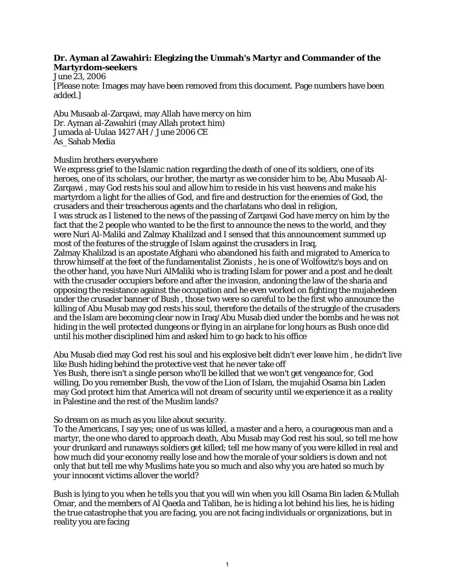## **Dr. Ayman al Zawahiri: Elegizing the Ummah's Martyr and Commander of the Martyrdom-seekers**

June 23, 2006

[Please note: Images may have been removed from this document. Page numbers have been added.]

Abu Musaab al-Zarqawi, may Allah have mercy on him Dr. Ayman al-Zawahiri (may Allah protect him) Jumada al-Uulaa 1427 AH / June 2006 CE As\_Sahab Media

## Muslim brothers everywhere

We express grief to the Islamic nation regarding the death of one of its soldiers, one of its heroes, one of its scholars, our brother, the martyr as we consider him to be, Abu Musaab Al-Zarqawi , may God rests his soul and allow him to reside in his vast heavens and make his martyrdom a light for the allies of God, and fire and destruction for the enemies of God, the crusaders and their treacherous agents and the charlatans who deal in religion, I was struck as I listened to the news of the passing of Zarqawi God have mercy on him by the fact that the 2 people who wanted to be the first to announce the news to the world, and they were Nuri Al-Maliki and Zalmay Khalilzad and I sensed that this announcement summed up most of the features of the struggle of Islam against the crusaders in Iraq, Zalmay Khalilzad is an apostate Afghani who abandoned his faith and migrated to America to throw himself at the feet of the fundamentalist Zionists , he is one of Wolfowitz's boys and on the other hand, you have Nuri AlMaliki who is trading Islam for power and a post and he dealt with the crusader occupiers before and after the invasion, andoning the law of the sharia and opposing the resistance against the occupation and he even worked on fighting the mujahedeen under the crusader banner of Bush , those two were so careful to be the first who announce the killing of Abu Musab may god rests his soul, therefore the details of the struggle of the crusaders and the Islam are becoming clear now in Iraq/Abu Musab died under the bombs and he was not hiding in the well protected dungeons or flying in an airplane for long hours as Bush once did until his mother disciplined him and asked him to go back to his office

Abu Musab died may God rest his soul and his explosive belt didn't ever leave him , he didn't live like Bush hiding behind the protective vest that he never take off

Yes Bush, there isn't a single person who'll be killed that we won't get vengeance for, God willing, Do you remember Bush, the vow of the Lion of Islam, the mujahid Osama bin Laden may God protect him that America will not dream of security until we experience it as a reality in Palestine and the rest of the Muslim lands?

## So dream on as much as you like about security.

To the Americans, I say yes; one of us was killed, a master and a hero, a courageous man and a martyr, the one who dared to approach death, Abu Musab may God rest his soul, so tell me how your drunkard and runaways soldiers get killed; tell me how many of you were killed in real and how much did your economy really lose and how the morale of your soldiers is down and not only that but tell me why Muslims hate you so much and also why you are hated so much by your innocent victims allover the world?

Bush is lying to you when he tells you that you will win when you kill Osama Bin laden & Mullah Omar, and the members of Al Qaeda and Taliban, he is hiding a lot behind his lies, he is hiding the true catastrophe that you are facing, you are not facing individuals or organizations, but in reality you are facing